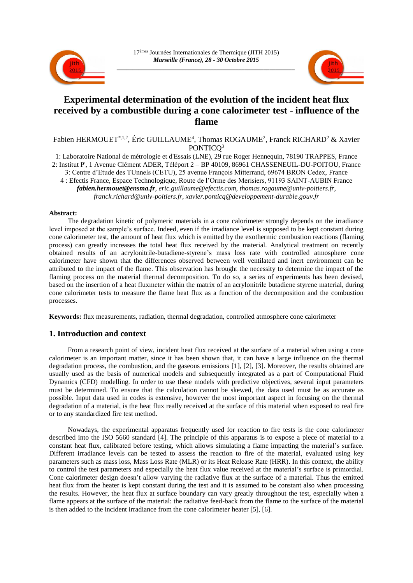

# **Experimental determination of the evolution of the incident heat flux received by a combustible during a cone calorimeter test - influence of the flame**

Fabien HERMOUET<sup>\*,1,2</sup>, Éric GUILLAUME<sup>4</sup>, Thomas ROGAUME<sup>2</sup>, Franck RICHARD<sup>2</sup> & Xavier PONTICO<sup>3</sup>

1: Laboratoire National de métrologie et d'Essais (LNE), 29 rue Roger Hennequin, 78190 TRAPPES, France 2: Institut P', 1 Avenue Clément ADER, Téléport 2 – BP 40109, 86961 CHASSENEUIL-DU-POITOU, France 3: Centre d'Etude des TUnnels (CETU), 25 avenue François Mitterrand, 69674 BRON Cedex, France 4 : Efectis France, Espace Technologique, Route de l'Orme des Merisiers, 91193 SAINT-AUBIN France *fabien.hermouet@ensma.fr, eric.guillaume@efectis.com, thomas.rogaume@univ-poitiers.fr,* 

*franck.richard@univ-poitiers.fr, xavier.ponticq@developpement-durable.gouv.fr*

#### **Abstract:**

The degradation kinetic of polymeric materials in a cone calorimeter strongly depends on the irradiance level imposed at the sample's surface. Indeed, even if the irradiance level is supposed to be kept constant during cone calorimeter test, the amount of heat flux which is emitted by the exothermic combustion reactions (flaming process) can greatly increases the total heat flux received by the material. Analytical treatment on recently obtained results of an acrylonitrile-butadiene-styrene's mass loss rate with controlled atmosphere cone calorimeter have shown that the differences observed between well ventilated and inert environment can be attributed to the impact of the flame. This observation has brought the necessity to determine the impact of the flaming process on the material thermal decomposition. To do so, a series of experiments has been devised, based on the insertion of a heat fluxmeter within the matrix of an acrylonitrile butadiene styrene material, during cone calorimeter tests to measure the flame heat flux as a function of the decomposition and the combustion processes.

**Keywords:** flux measurements, radiation, thermal degradation, controlled atmosphere cone calorimeter

## **1. Introduction and context**

From a research point of view, incident heat flux received at the surface of a material when using a cone calorimeter is an important matter, since it has been shown that, it can have a large influence on the thermal degradation process, the combustion, and the gaseous emissions [\[1\],](#page-13-0) [\[2\],](#page-13-1) [\[3\].](#page-13-2) Moreover, the results obtained are usually used as the basis of numerical models and subsequently integrated as a part of Computational Fluid Dynamics (CFD) modelling. In order to use these models with predictive objectives, several input parameters must be determined. To ensure that the calculation cannot be skewed, the data used must be as accurate as possible. Input data used in codes is extensive, however the most important aspect in focusing on the thermal degradation of a material, is the heat flux really received at the surface of this material when exposed to real fire or to any standardized fire test method.

Nowadays, the experimental apparatus frequently used for reaction to fire tests is the cone calorimeter described into the ISO 5660 standard [\[4\].](#page-13-3) The principle of this apparatus is to expose a piece of material to a constant heat flux, calibrated before testing, which allows simulating a flame impacting the material's surface. Different irradiance levels can be tested to assess the reaction to fire of the material, evaluated using key parameters such as mass loss, Mass Loss Rate (MLR) or its Heat Release Rate (HRR). In this context, the ability to control the test parameters and especially the heat flux value received at the material's surface is primordial. Cone calorimeter design doesn't allow varying the radiative flux at the surface of a material. Thus the emitted heat flux from the heater is kept constant during the test and it is assumed to be constant also when processing the results. However, the heat flux at surface boundary can vary greatly throughout the test, especially when a flame appears at the surface of the material: the radiative feed-back from the flame to the surface of the material is then added to the incident irradiance from the cone calorimeter heater [\[5\],](#page-13-4) [\[6\].](#page-13-5)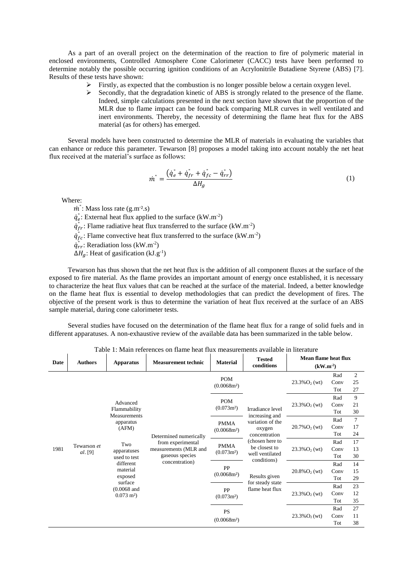As a part of an overall project on the determination of the reaction to fire of polymeric material in enclosed environments, Controlled Atmosphere Cone Calorimeter (CACC) tests have been performed to determine notably the possible occurring ignition conditions of an Acrylonitrile Butadiene Styrene (ABS) [\[7\].](#page-13-6) Results of these tests have shown:

- $\triangleright$  Firstly, as expected that the combustion is no longer possible below a certain oxygen level.
- Secondly, that the degradation kinetic of ABS is strongly related to the presence of the flame. Indeed, simple calculations presented in the next section have shown that the proportion of the MLR due to flame impact can be found back comparing MLR curves in well ventilated and inert environments. Thereby, the necessity of determining the flame heat flux for the ABS material (as for others) has emerged.

Several models have been constructed to determine the MLR of materials in evaluating the variables that can enhance or reduce this parameter. Tewarson [\[8\]](#page-13-7) proposes a model taking into account notably the net heat flux received at the material's surface as follows:

$$
\dot{m}^{\dagger} = \frac{\left(\dot{q}_e^{\dagger} + \dot{q}_{fr}^{\dagger} + \dot{q}_{fc}^{\dagger} - \dot{q}_{rr}^{\dagger}\right)}{\Delta H_g} \tag{1}
$$

Where:

 $\dot{m}$ ": Mass loss rate (g.m<sup>-2</sup>.s)  $\dot{q}_e^{\dagger}$ : External heat flux applied to the surface (kW.m<sup>-2</sup>)  $\dot{q}_{fr}$ : Flame radiative heat flux transferred to the surface (kW.m<sup>-2</sup>)  $\dot{q}_{fc}^{\dagger}$ : Flame convective heat flux transferred to the surface (kW.m<sup>-2</sup>)  $\dot{q}_{rr}$ : Reradiation loss (kW.m<sup>-2</sup>)  $\Delta H_g$ : Heat of gasification (kJ.g<sup>-1</sup>)

Tewarson has thus shown that the net heat flux is the addition of all component fluxes at the surface of the exposed to fire material. As the flame provides an important amount of energy once established, it is necessary to characterize the heat flux values that can be reached at the surface of the material. Indeed, a better knowledge on the flame heat flux is essential to develop methodologies that can predict the development of fires. The objective of the present work is thus to determine the variation of heat flux received at the surface of an ABS sample material, during cone calorimeter tests.

Several studies have focused on the determination of the flame heat flux for a range of solid fuels and in different apparatuses. A non-exhaustive review of the available data has been summarized in the table below.

<span id="page-1-0"></span>

| Date | <b>Authors</b>         | <b>Apparatus</b>                                                                                                                                                                            | <b>Measurement technic</b>                                                                                | <b>Material</b>                       | <b>Tested</b><br>conditions                                                                                                                                                                                     | Mean flame heat flux<br>$(kW.m^{-2})$ |                    |                            |
|------|------------------------|---------------------------------------------------------------------------------------------------------------------------------------------------------------------------------------------|-----------------------------------------------------------------------------------------------------------|---------------------------------------|-----------------------------------------------------------------------------------------------------------------------------------------------------------------------------------------------------------------|---------------------------------------|--------------------|----------------------------|
| 1981 | Tewarson et<br>al. [9] | Advanced<br>Flammability<br>Measurements<br>apparatus<br>(AFM)<br>Two<br>apparatuses<br>used to test<br>different<br>material<br>exposed<br>surface<br>$(0.0068$ and<br>$0.073 \text{ m}^2$ | Determined numerically<br>from experimental<br>measurements (MLR and<br>gaseous species<br>concentration) | <b>POM</b><br>(0.0068m <sup>2</sup> ) | Irradiance level<br>increasing and<br>variation of the<br>oxygen<br>concentration<br>(chosen here to<br>be closest to<br>well ventilated<br>conditions)<br>Results given<br>for steady state<br>flame heat flux | $23.3\%O_2$ (wt)                      | Rad<br>Conv<br>Tot | $\overline{c}$<br>25<br>27 |
|      |                        |                                                                                                                                                                                             |                                                                                                           | <b>POM</b><br>$(0.073m^2)$            |                                                                                                                                                                                                                 | $23.3\%O_2$ (wt)                      | Rad<br>Conv<br>Tot | 9<br>21<br>30              |
|      |                        |                                                                                                                                                                                             |                                                                                                           | <b>PMMA</b><br>$(0.0068m^2)$          |                                                                                                                                                                                                                 | $20.7\%O_{2}$ (wt)                    | Rad<br>Conv<br>Tot | $\overline{7}$<br>17<br>24 |
|      |                        |                                                                                                                                                                                             |                                                                                                           | <b>PMMA</b><br>$(0.073m^2)$           |                                                                                                                                                                                                                 | $23.3\%O_2$ (wt)                      | Rad<br>Conv<br>Tot | 17<br>13<br>30             |
|      |                        |                                                                                                                                                                                             |                                                                                                           | PP<br>$(0.0068m^2)$                   |                                                                                                                                                                                                                 | $20.8\%O_2$ (wt)                      | Rad<br>Conv<br>Tot | 14<br>15<br>29             |
|      |                        |                                                                                                                                                                                             |                                                                                                           | PP<br>$(0.073m^2)$                    |                                                                                                                                                                                                                 | $23.3\%O2$ (wt)                       | Rad<br>Conv<br>Tot | 23<br>12<br>35             |
|      |                        |                                                                                                                                                                                             |                                                                                                           | <b>PS</b><br>(0.0068m <sup>2</sup> )  |                                                                                                                                                                                                                 | $23.3\%O_2(wt)$                       | Rad<br>Conv<br>Tot | 27<br>11<br>38             |

#### Table 1: Main references on flame heat flux measurements available in literature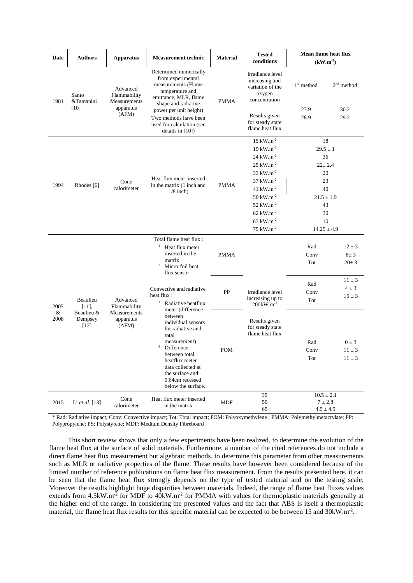| Date                 | <b>Authors</b>                                          | <b>Apparatus</b>                                               | <b>Measurement technic</b>                                                                                                                                                                                                                                                                                                                                                                                                                                                                    | <b>Material</b> | <b>Tested</b><br>conditions                                                       | Mean flame heat flux<br>$(kW.m^{-2})$                                                                           |                                       |
|----------------------|---------------------------------------------------------|----------------------------------------------------------------|-----------------------------------------------------------------------------------------------------------------------------------------------------------------------------------------------------------------------------------------------------------------------------------------------------------------------------------------------------------------------------------------------------------------------------------------------------------------------------------------------|-----------------|-----------------------------------------------------------------------------------|-----------------------------------------------------------------------------------------------------------------|---------------------------------------|
| 1981                 | Santo<br>&Tamanini<br>$[10]$                            | Advanced<br>Flammability<br>Measurements<br>apparatus<br>(AFM) | Determined numerically<br>from experimental<br>measurements (Flame<br>temperature and<br>emittance, MLR, flame<br>shape and radiative                                                                                                                                                                                                                                                                                                                                                         | <b>PMMA</b>     | Irradiance level<br>increasing and<br>variation of the<br>oxygen<br>concentration | $1st$ method                                                                                                    | $2nd$ method                          |
|                      |                                                         |                                                                | power per unit height)<br>Two methods have been<br>used for calculation (see<br>details in $[10]$ )                                                                                                                                                                                                                                                                                                                                                                                           |                 | Results given<br>for steady state<br>flame heat flux                              | 27.9<br>28.9                                                                                                    | 30.2<br>29.2                          |
| 1994                 | Rhodes [6]                                              | Cone<br>calorimeter                                            | $15 \text{ kW} \cdot \text{m}^{-2}$<br>$19 \text{ kW} \cdot \text{m}^{-2}$<br>$24~\mathrm{kW}.\mathrm{m}^{\text{-}2}$<br>$25~\mathrm{kW}.\mathrm{m}^{\text{-}2}$<br>33 kW.m <sup>-2</sup><br>Heat flux meter inserted<br>$37~\mathrm{kW}.\mathrm{m}^{\text{-}2}$<br>in the matrix (1 inch and<br><b>PMMA</b><br>$41~\mathrm{kW}.\mathrm{m}^{\text{-}2}$<br>$1/8$ inch)<br>$50~\rm kW.m^{-2}$<br>52 kW.m <sup>-2</sup><br>$62~\rm kW.m^{-2}$<br>63 kW.m <sup>-2</sup><br>75 kW.m <sup>-2</sup> |                 |                                                                                   | 18<br>$29.5 \pm 1$<br>36<br>$22 \pm 2.4$<br>20<br>23<br>40<br>$21.5 + 1.9$<br>43<br>30<br>10<br>$14.25 \pm 4.9$ |                                       |
|                      |                                                         |                                                                | Total flame heat flux:<br>$\mathbf{1}$<br>Heat flux meter<br>inserted in the<br>matrix<br>$\overline{2}$<br>Micro-foil heat<br>flux sensor                                                                                                                                                                                                                                                                                                                                                    | <b>PMMA</b>     |                                                                                   | Rad<br>Conv<br>Tot                                                                                              | $12 \pm 3$<br>$8\pm3$<br>$20 \pm 3$   |
| 2005<br>$\&$<br>2008 | Beaulieu<br>$[11]$ ,<br>Beaulieu &<br>Dempsey<br>$[12]$ | Advanced<br>Flammability<br>Measurements<br>apparatus<br>(AFM) | Convective and radiative<br>heat flux:<br>$\mathbf{1}$<br>Radiative heatflux<br>meter (difference<br>between<br>individual sensors<br>for radiative and<br>total<br>measurement)<br>2<br>Difference<br>between total<br>heatflux meter<br>data collected at<br>the surface and<br>0.64cm recessed<br>below the surface.                                                                                                                                                                       | PP              | Irradiance level<br>increasing up to<br>$200kW.m^{-2}$                            | Rad<br>Conv<br>Tot                                                                                              | $11 \pm 3$<br>$4 \pm 3$<br>$15 \pm 3$ |
|                      |                                                         |                                                                |                                                                                                                                                                                                                                                                                                                                                                                                                                                                                               | <b>POM</b>      | Results given<br>for steady state<br>flame heat flux                              | Rad<br>Conv<br>Tot                                                                                              | $0 \pm 3$<br>$11 \pm 3$<br>$11\pm3$   |
| 2015                 | Li et al. [13]                                          | Cone<br>calorimeter                                            | 35<br>Heat flux meter inserted<br><b>MDF</b><br>50<br>in the matrix<br>65<br>* Rad: Radiative impact; Conv: Convective impact; Tot: Total impact; POM: Polyoxymethylene ; PMMA: Polymethylmetacrylate; PP:                                                                                                                                                                                                                                                                                    |                 |                                                                                   | $10.5 \pm 2.1$<br>$7 \pm 2.8$<br>$4.5 \pm 4.9$                                                                  |                                       |

Polypropylene; PS: Polystyrene; MDF: Medium Density Fibreboard

This short review shows that only a few experiments have been realized, to determine the evolution of the flame heat flux at the surface of solid materials. Furthermore, a number of the cited references do not include a direct flame heat flux measurement but algebraic methods, to determine this parameter from other measurements such as MLR or radiative properties of the flame. These results have however been considered because of the limited number of reference publications on flame heat flux measurement. From the results presented here, it can be seen that the flame heat flux strongly depends on the type of tested material and on the testing scale. Moreover the results highlight huge disparities between materials. Indeed, the range of flame heat fluxes values extends from 4.5kW.m<sup>-2</sup> for MDF to 40kW.m<sup>-2</sup> for PMMA with values for thermoplastic materials generally at the higher end of the range. In considering the presented values and the fact that ABS is itself a thermoplastic material, the flame heat flux results for this specific material can be expected to be between 15 and  $30 \text{kW.m}^2$ .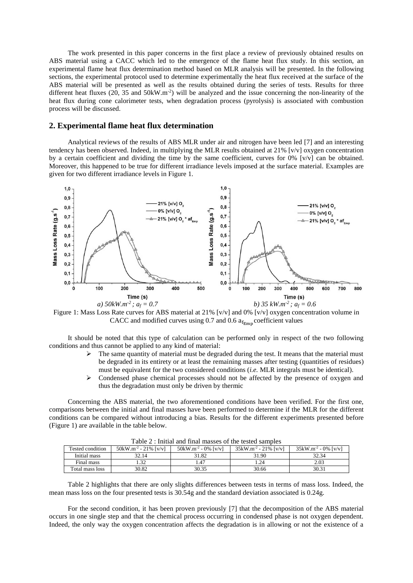The work presented in this paper concerns in the first place a review of previously obtained results on ABS material using a CACC which led to the emergence of the flame heat flux study. In this section, an experimental flame heat flux determination method based on MLR analysis will be presented. In the following sections, the experimental protocol used to determine experimentally the heat flux received at the surface of the ABS material will be presented as well as the results obtained during the series of tests. Results for three different heat fluxes (20, 35 and 50kW.m<sup>-2</sup>) will be analyzed and the issue concerning the non-linearity of the heat flux during cone calorimeter tests, when degradation process (pyrolysis) is associated with combustion process will be discussed.

## **2. Experimental flame heat flux determination**

Analytical reviews of the results of ABS MLR under air and nitrogen have been led [\[7\]](#page-13-6) and an interesting tendency has been observed. Indeed, in multiplying the MLR results obtained at 21% [v/v] oxygen concentration by a certain coefficient and dividing the time by the same coefficient, curves for 0% [v/v] can be obtained. Moreover, this happened to be true for different irradiance levels imposed at the surface material. Examples are given for two different irradiance levels i[n Figure 1.](#page-3-0)



<span id="page-3-0"></span>Figure 1: Mass Loss Rate curves for ABS material at 21% [v/v] and 0% [v/v] oxygen concentration volume in CACC and modified curves using 0.7 and 0.6  $a_{f_{\text{Emp}}}$  coefficient values

It should be noted that this type of calculation can be performed only in respect of the two following conditions and thus cannot be applied to any kind of material:

- $\triangleright$  The same quantity of material must be degraded during the test. It means that the material must be degraded in its entirety or at least the remaining masses after testing (quantities of residues) must be equivalent for the two considered conditions (*i.e.* MLR integrals must be identical).
- > Condensed phase chemical processes should not be affected by the presence of oxygen and thus the degradation must only be driven by thermic

Concerning the ABS material, the two aforementioned conditions have been verified. For the first one, comparisons between the initial and final masses have been performed to determine if the MLR for the different conditions can be compared without introducing a bias. Results for the different experiments presented before [\(Figure 1\)](#page-3-0) are available in the table below.

<span id="page-3-1"></span>

| Table 2). Initial and final masses of the tested samples |                                                |                                               |                                                |                                               |  |  |  |
|----------------------------------------------------------|------------------------------------------------|-----------------------------------------------|------------------------------------------------|-----------------------------------------------|--|--|--|
| Tested condition                                         | $50 \text{kW} \cdot \text{m}^{-2}$ - 21% [v/y] | $50 \text{kW} \cdot \text{m}^{-2}$ - 0% [y/y] | $35 \text{kW} \cdot \text{m}^{-2}$ - 21% [v/y] | $35 \text{kW} \cdot \text{m}^{-2}$ - 0% [y/y] |  |  |  |
| Initial mass                                             | 32.14                                          | 31.82                                         | 31.90                                          | 32.34                                         |  |  |  |
| Final mass                                               |                                                |                                               | .24                                            | 2.03                                          |  |  |  |
| Total mass loss                                          | 30.82                                          | 30.35                                         | 30.66                                          | 30.31                                         |  |  |  |

Table 2 : Initial and final masses of the tested samples

[Table 2](#page-3-1) highlights that there are only slights differences between tests in terms of mass loss. Indeed, the mean mass loss on the four presented tests is 30.54g and the standard deviation associated is 0.24g.

For the second condition, it has been proven previously [\[7\]](#page-13-6) that the decomposition of the ABS material occurs in one single step and that the chemical process occurring in condensed phase is not oxygen dependent. Indeed, the only way the oxygen concentration affects the degradation is in allowing or not the existence of a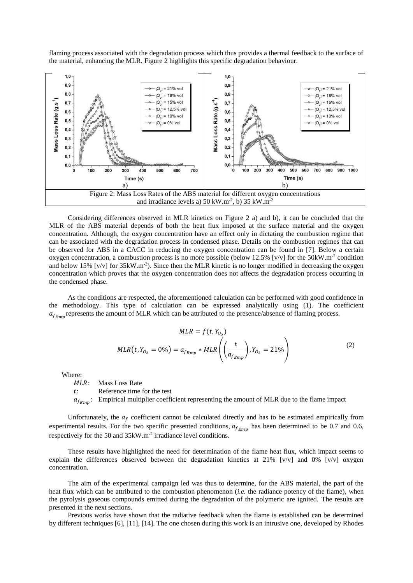flaming process associated with the degradation process which thus provides a thermal feedback to the surface of the material, enhancing the MLR. [Figure 2](#page-4-0) highlights this specific degradation behaviour.



<span id="page-4-0"></span>Considering differences observed in MLR kinetics on [Figure 2](#page-4-0) a) and b), it can be concluded that the MLR of the ABS material depends of both the heat flux imposed at the surface material and the oxygen concentration. Although, the oxygen concentration have an effect only in dictating the combustion regime that can be associated with the degradation process in condensed phase. Details on the combustion regimes that can be observed for ABS in a CACC in reducing the oxygen concentration can be found in [\[7\].](#page-13-6) Below a certain oxygen concentration, a combustion process is no more possible (below 12.5% [v/v] for the 50kW.m<sup>-2</sup> condition and below 15% [ $v/v$ ] for 35kW.m<sup>-2</sup>). Since then the MLR kinetic is no longer modified in decreasing the oxygen concentration which proves that the oxygen concentration does not affects the degradation process occurring in the condensed phase.

As the conditions are respected, the aforementioned calculation can be performed with good confidence in the methodology. This type of calculation can be expressed analytically using (1). The coefficient  $a_{f_{Frm}}$  represents the amount of MLR which can be attributed to the presence/absence of flaming process.

$$
MLR = f(t, Y_{O_2})
$$
  

$$
MLR(t, Y_{O_2} = 0\%) = a_{f_{Emp}} * MLR\left(\left(\frac{t}{a_{f_{Emp}}}\right), Y_{O_2} = 21\%\right)
$$
 (2)

Where:

MLR: Mass Loss Rate : Reference time for the test  $a_{f_{Fmn}}$ : Empirical multiplier coefficient representing the amount of MLR due to the flame impact

Unfortunately, the  $a_f$  coefficient cannot be calculated directly and has to be estimated empirically from experimental results. For the two specific presented conditions,  $a_{f_{Emp}}$  has been determined to be 0.7 and 0.6, respectively for the 50 and 35kW.m<sup>-2</sup> irradiance level conditions.

These results have highlighted the need for determination of the flame heat flux, which impact seems to explain the differences observed between the degradation kinetics at 21%  $[v/v]$  and 0%  $[v/v]$  oxygen concentration.

The aim of the experimental campaign led was thus to determine, for the ABS material, the part of the heat flux which can be attributed to the combustion phenomenon (*i.e.* the radiance potency of the flame), when the pyrolysis gaseous compounds emitted during the degradation of the polymeric are ignited. The results are presented in the next sections.

Previous works have shown that the radiative feedback when the flame is established can be determined by different techniques [\[6\],](#page-13-5) [\[11\],](#page-13-10) [\[14\].](#page-13-13) The one chosen during this work is an intrusive one, developed by Rhodes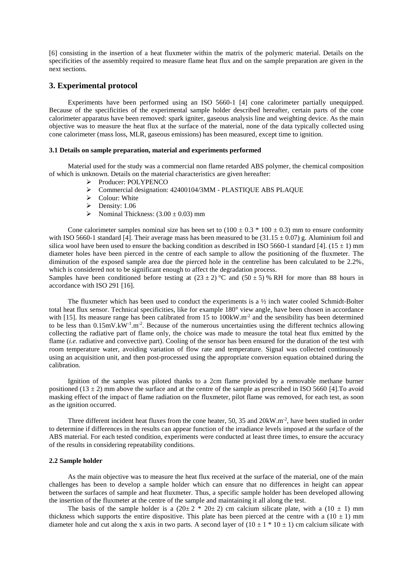[\[6\]](#page-13-5) consisting in the insertion of a heat fluxmeter within the matrix of the polymeric material. Details on the specificities of the assembly required to measure flame heat flux and on the sample preparation are given in the next sections.

#### **3. Experimental protocol**

Experiments have been performed using an ISO 5660-1 [\[4\]](#page-13-3) cone calorimeter partially unequipped. Because of the specificities of the experimental sample holder described hereafter, certain parts of the cone calorimeter apparatus have been removed: spark igniter, gaseous analysis line and weighting device. As the main objective was to measure the heat flux at the surface of the material, none of the data typically collected using cone calorimeter (mass loss, MLR, gaseous emissions) has been measured, except time to ignition.

#### **3.1 Details on sample preparation, material and experiments performed**

Material used for the study was a commercial non flame retarded ABS polymer, the chemical composition of which is unknown. Details on the material characteristics are given hereafter:

- Producer: POLYPENCO
- Commercial designation: 42400104/3MM PLASTIQUE ABS PLAQUE
- $\geq$  Colour: White<br> $\geq$  Density: 1.06
- Density: 1.06
- $\triangleright$  Nominal Thickness: (3.00  $\pm$  0.03) mm

Cone calorimeter samples nominal size has been set to  $(100 \pm 0.3 * 100 \pm 0.3)$  mm to ensure conformity with ISO 5660-1 standard [\[4\].](#page-13-3) Their average mass has been measured to be (31.15  $\pm$  0.07) g. Aluminium foil and silica wool have been used to ensure the backing condition as described in ISO 5660-1 standard [\[4\].](#page-13-3) (15  $\pm$  1) mm diameter holes have been pierced in the centre of each sample to allow the positioning of the fluxmeter. The diminution of the exposed sample area due the pierced hole in the centreline has been calculated to be 2.2%, which is considered not to be significant enough to affect the degradation process.

Samples have been conditioned before testing at  $(23 \pm 2)$  °C and  $(50 \pm 5)$  % RH for more than 88 hours in accordance with ISO 291 [\[16\].](#page-14-0)

The fluxmeter which has been used to conduct the experiments is a ½ inch water cooled Schmidt-Bolter total heat flux sensor. Technical specificities, like for example 180° view angle, have been chosen in accordance with [\[15\].](#page-13-14) Its measure range has been calibrated from 15 to 100 kW.m<sup>-2</sup> and the sensibility has been determined to be less than  $0.15 \text{mV} \cdot \text{kW}^{-1} \cdot \text{m}^{-2}$ . Because of the numerous uncertainties using the different technics allowing collecting the radiative part of flame only, the choice was made to measure the total heat flux emitted by the flame *(i.e.* radiative and convective part). Cooling of the sensor has been ensured for the duration of the test with room temperature water, avoiding variation of flow rate and temperature. Signal was collected continuously using an acquisition unit, and then post-processed using the appropriate conversion equation obtained during the calibration.

Ignition of the samples was piloted thanks to a 2cm flame provided by a removable methane burner positioned (13  $\pm$  2) mm above the surface and at the centre of the sample as prescribed in ISO 5660 [\[4\].](#page-13-3) To avoid masking effect of the impact of flame radiation on the fluxmeter, pilot flame was removed, for each test, as soon as the ignition occurred.

Three different incident heat fluxes from the cone heater, 50, 35 and  $20 \text{kW} \cdot \text{m}^2$ , have been studied in order to determine if differences in the results can appear function of the irradiance levels imposed at the surface of the ABS material. For each tested condition, experiments were conducted at least three times, to ensure the accuracy of the results in considering repeatability conditions.

#### **2.2 Sample holder**

As the main objective was to measure the heat flux received at the surface of the material, one of the main challenges has been to develop a sample holder which can ensure that no differences in height can appear between the surfaces of sample and heat fluxmeter. Thus, a specific sample holder has been developed allowing the insertion of the fluxmeter at the centre of the sample and maintaining it all along the test.

The basis of the sample holder is a  $(20 \pm 2 * 20 \pm 2)$  cm calcium silicate plate, with a  $(10 \pm 1)$  mm thickness which supports the entire dispositive. This plate has been pierced at the centre with a  $(10 \pm 1)$  mm diameter hole and cut along the x axis in two parts. A second layer of  $(10 \pm 1 * 10 \pm 1)$  cm calcium silicate with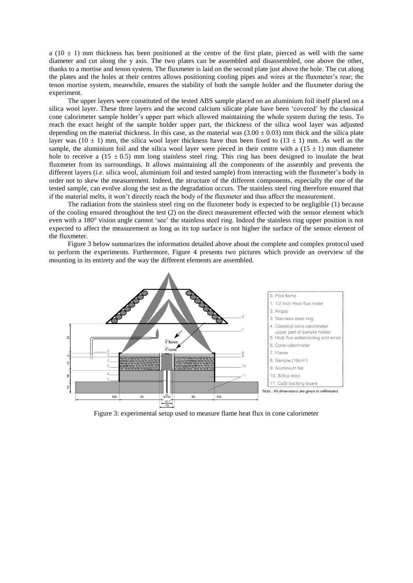a (10  $\pm$  1) mm thickness has been positioned at the centre of the first plate, pierced as well with the same diameter and cut along the y axis. The two plates can be assembled and disassembled, one above the other, thanks to a mortise and tenon system. The fluxmeter is laid on the second plate just above the hole. The cut along the plates and the holes at their centres allows positioning cooling pipes and wires at the fluxmeter's rear; the tenon mortise system, meanwhile, ensures the stability of both the sample holder and the fluxmeter during the experiment.

The upper layers were constituted of the tested ABS sample placed on an aluminium foil itself placed on a silica wool layer. These three layers and the second calcium silicate plate have been 'covered' by the classical cone calorimeter sample holder's upper part which allowed maintaining the whole system during the tests. To reach the exact height of the sample holder upper part, the thickness of the silica wool layer was adjusted depending on the material thickness. In this case, as the material was  $(3.00 \pm 0.03)$  mm thick and the silica plate layer was (10  $\pm$  1) mm, the silica wool layer thickness have thus been fixed to (13  $\pm$  1) mm. As well as the sample, the aluminium foil and the silica wool layer were pieced in their centre with a  $(15 \pm 1)$  mm diameter hole to receive a (15  $\pm$  0.5) mm long stainless steel ring. This ring has been designed to insulate the heat fluxmeter from its surroundings. It allows maintaining all the components of the assembly and prevents the different layers (*i.e.* silica wool, aluminium foil and tested sample) from interacting with the fluxmeter's body in order not to skew the measurement. Indeed, the structure of the different components, especially the one of the tested sample, can evolve along the test as the degradation occurs. The stainless steel ring therefore ensured that if the material melts, it won't directly reach the body of the fluxmeter and thus affect the measurement.

The radiation from the stainless steel ring on the fluxmeter body is expected to be negligible (1) because of the cooling ensured throughout the test (2) on the direct measurement effected with the sensor element which even with a 180° vision angle cannot 'see' the stainless steel ring. Indeed the stainless ring upper position is not expected to affect the measurement as long as its top surface is not higher the surface of the sensor element of the fluxmeter.

[Figure 3](#page-6-0) below summarizes the information detailed above about the complete and complex protocol used to perform the experiments. Furthermore, [Figure 4](#page-7-0) presents two pictures which provide an overview of the mounting in its entirety and the way the different elements are assembled.



<span id="page-6-0"></span>Figure 3: experimental setup used to measure flame heat flux in cone calorimeter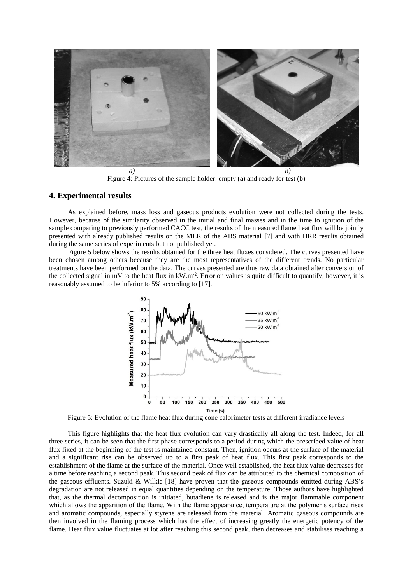

Figure 4: Pictures of the sample holder: empty (a) and ready for test (b)

## <span id="page-7-0"></span>**4. Experimental results**

As explained before, mass loss and gaseous products evolution were not collected during the tests. However, because of the similarity observed in the initial and final masses and in the time to ignition of the sample comparing to previously performed CACC test, the results of the measured flame heat flux will be jointly presented with already published results on the MLR of the ABS material [\[7\]](#page-13-6) and with HRR results obtained during the same series of experiments but not published yet.

[Figure 5](#page-7-1) below shows the results obtained for the three heat fluxes considered. The curves presented have been chosen among others because they are the most representatives of the different trends. No particular treatments have been performed on the data. The curves presented are thus raw data obtained after conversion of the collected signal in mV to the heat flux in  $kW.m^{-2}$ . Error on values is quite difficult to quantify, however, it is reasonably assumed to be inferior to 5% according to [\[17\].](#page-14-1)



Figure 5: Evolution of the flame heat flux during cone calorimeter tests at different irradiance levels

<span id="page-7-1"></span>This figure highlights that the heat flux evolution can vary drastically all along the test. Indeed, for all three series, it can be seen that the first phase corresponds to a period during which the prescribed value of heat flux fixed at the beginning of the test is maintained constant. Then, ignition occurs at the surface of the material and a significant rise can be observed up to a first peak of heat flux. This first peak corresponds to the establishment of the flame at the surface of the material. Once well established, the heat flux value decreases for a time before reaching a second peak. This second peak of flux can be attributed to the chemical composition of the gaseous effluents. Suzuki & Wilkie [\[18\]](#page-14-2) have proven that the gaseous compounds emitted during ABS's degradation are not released in equal quantities depending on the temperature. Those authors have highlighted that, as the thermal decomposition is initiated, butadiene is released and is the major flammable component which allows the apparition of the flame. With the flame appearance, temperature at the polymer's surface rises and aromatic compounds, especially styrene are released from the material. Aromatic gaseous compounds are then involved in the flaming process which has the effect of increasing greatly the energetic potency of the flame. Heat flux value fluctuates at lot after reaching this second peak, then decreases and stabilises reaching a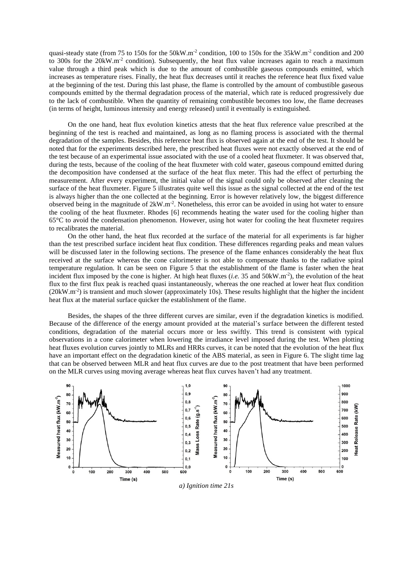quasi-steady state (from 75 to 150s for the 50kW.m<sup>-2</sup> condition, 100 to 150s for the 35kW.m<sup>-2</sup> condition and 200 to 300s for the  $20 \text{kW} \cdot \text{m}^{-2}$  condition). Subsequently, the heat flux value increases again to reach a maximum value through a third peak which is due to the amount of combustible gaseous compounds emitted, which increases as temperature rises. Finally, the heat flux decreases until it reaches the reference heat flux fixed value at the beginning of the test. During this last phase, the flame is controlled by the amount of combustible gaseous compounds emitted by the thermal degradation process of the material, which rate is reduced progressively due to the lack of combustible. When the quantity of remaining combustible becomes too low, the flame decreases (in terms of height, luminous intensity and energy released) until it eventually is extinguished.

On the one hand, heat flux evolution kinetics attests that the heat flux reference value prescribed at the beginning of the test is reached and maintained, as long as no flaming process is associated with the thermal degradation of the samples. Besides, this reference heat flux is observed again at the end of the test. It should be noted that for the experiments described here, the prescribed heat fluxes were not exactly observed at the end of the test because of an experimental issue associated with the use of a cooled heat fluxmeter. It was observed that, during the tests, because of the cooling of the heat fluxmeter with cold water, gaseous compound emitted during the decomposition have condensed at the surface of the heat flux meter. This had the effect of perturbing the measurement. After every experiment, the initial value of the signal could only be observed after cleaning the surface of the heat fluxmeter. [Figure 5](#page-7-1) illustrates quite well this issue as the signal collected at the end of the test is always higher than the one collected at the beginning. Error is however relatively low, the biggest difference observed being in the magnitude of 2kW.m<sup>-2</sup>. Nonetheless, this error can be avoided in using hot water to ensure the cooling of the heat fluxmeter. Rhodes [\[6\]](#page-13-5) recommends heating the water used for the cooling higher than 65°C to avoid the condensation phenomenon. However, using hot water for cooling the heat fluxmeter requires to recalibrates the material.

On the other hand, the heat flux recorded at the surface of the material for all experiments is far higher than the test prescribed surface incident heat flux condition. These differences regarding peaks and mean values will be discussed later in the following sections. The presence of the flame enhances considerably the heat flux received at the surface whereas the cone calorimeter is not able to compensate thanks to the radiative spiral temperature regulation. It can be seen on [Figure 5](#page-7-1) that the establishment of the flame is faster when the heat incident flux imposed by the cone is higher. At high heat fluxes  $(i.e. 35 \text{ and } 50 \text{kW} \cdot \text{m}^{-2})$ , the evolution of the heat flux to the first flux peak is reached quasi instantaneously, whereas the one reached at lower heat flux condition  $(20 \text{kW} \cdot \text{m}^2)$  is transient and much slower (approximately 10s). These results highlight that the higher the incident heat flux at the material surface quicker the establishment of the flame.

Besides, the shapes of the three different curves are similar, even if the degradation kinetics is modified. Because of the difference of the energy amount provided at the material's surface between the different tested conditions, degradation of the material occurs more or less swiftly. This trend is consistent with typical observations in a cone calorimeter when lowering the irradiance level imposed during the test. When plotting heat fluxes evolution curves jointly to MLRs and HRRs curves, it can be noted that the evolution of the heat flux have an important effect on the degradation kinetic of the ABS material, as seen in [Figure 6.](#page-9-0) The slight time lag that can be observed between MLR and heat flux curves are due to the post treatment that have been performed on the MLR curves using moving average whereas heat flux curves haven't had any treatment.

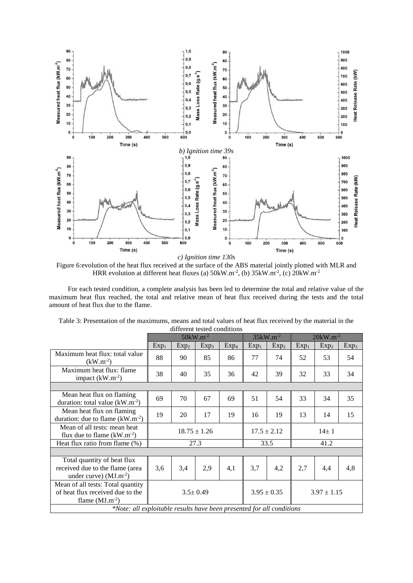

*c) Ignition time 130s*

<span id="page-9-0"></span>Figure 6:evolution of the heat flux received at the surface of the ABS material jointly plotted with MLR and HRR evolution at different heat fluxes (a)  $50 \text{kW} \cdot \text{m}^{-2}$ , (b)  $35 \text{kW} \cdot \text{m}^{-2}$ , (c)  $20 \text{kW} \cdot \text{m}^{-2}$ 

For each tested condition, a complete analysis has been led to determine the total and relative value of the maximum heat flux reached, the total and relative mean of heat flux received during the tests and the total amount of heat flux due to the flame.

| umerent testeu conunums                                                                      |                         |                  |                  |                                    |                  |                  |                  |                  |                  |
|----------------------------------------------------------------------------------------------|-------------------------|------------------|------------------|------------------------------------|------------------|------------------|------------------|------------------|------------------|
|                                                                                              | $50$ kW.m <sup>-2</sup> |                  |                  | $35 \text{kW} \cdot \text{m}^{-2}$ |                  | $20kW.m-2$       |                  |                  |                  |
|                                                                                              | Exp <sub>1</sub>        | Exp <sub>2</sub> | Exp <sub>3</sub> | Exp <sub>4</sub>                   | Exp <sub>1</sub> | Exp <sub>2</sub> | Exp <sub>1</sub> | Exp <sub>2</sub> | Exp <sub>3</sub> |
| Maximum heat flux: total value<br>$(kW.m^{-2})$                                              | 88                      | 90               | 85               | 86                                 | 77               | 74               | 52               | 53               | 54               |
| Maximum heat flux: flame<br>impact $(kW.m^{-2})$                                             | 38                      | 40               | 35               | 36                                 | 42               | 39               | 32               | 33               | 34               |
|                                                                                              |                         |                  |                  |                                    |                  |                  |                  |                  |                  |
| Mean heat flux on flaming<br>duration: total value $(kW.m^{-2})$                             | 69                      | 70               | 67               | 69                                 | 51               | 54               | 33               | 34               | 35               |
| Mean heat flux on flaming<br>duration: due to flame $(kW.m^{-2})$                            | 19                      | 20               | 17               | 19                                 | 16               | 19               | 13               | 14               | 15               |
| Mean of all tests: mean heat<br>flux due to flame $(kW.m^{-2})$                              | $18.75 \pm 1.26$        |                  |                  | $17.5 \pm 2.12$                    |                  | $14 \pm 1$       |                  |                  |                  |
| Heat flux ratio from flame (%)                                                               | 27.3                    |                  |                  | 33.5                               |                  | 41.2             |                  |                  |                  |
|                                                                                              |                         |                  |                  |                                    |                  |                  |                  |                  |                  |
| Total quantity of heat flux<br>received due to the flame (area<br>under curve) $(MJ.m^{-2})$ | 3,6                     | 3,4              | 2,9              | 4,1                                | 3,7              | 4,2              | 2,7              | 4,4              | 4,8              |
| Mean of all tests: Total quantity<br>of heat flux received due to the<br>flame $(MJ.m^{-2})$ | $3.5 \pm 0.49$          |                  |                  | $3.95 \pm 0.35$                    |                  | $3.97 \pm 1.15$  |                  |                  |                  |
| *Note: all exploitable results have been presented for all conditions                        |                         |                  |                  |                                    |                  |                  |                  |                  |                  |

<span id="page-9-1"></span>

| Table 3: Presentation of the maximums, means and total values of heat flux received by the material in the |
|------------------------------------------------------------------------------------------------------------|
| different tested conditions                                                                                |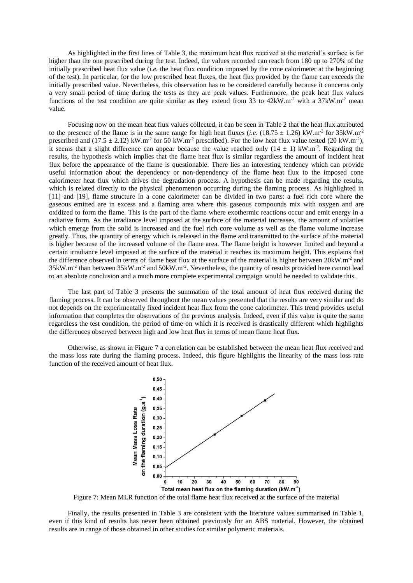As highlighted in the first lines of [Table 3,](#page-9-1) the maximum heat flux received at the material's surface is far higher than the one prescribed during the test. Indeed, the values recorded can reach from 180 up to 270% of the initially prescribed heat flux value (*i.e.* the heat flux condition imposed by the cone calorimeter at the beginning of the test). In particular, for the low prescribed heat fluxes, the heat flux provided by the flame can exceeds the initially prescribed value. Nevertheless, this observation has to be considered carefully because it concerns only a very small period of time during the tests as they are peak values. Furthermore, the peak heat flux values functions of the test condition are quite similar as they extend from 33 to  $42kW.m^{-2}$  with a 37kW.m<sup>-2</sup> mean value.

Focusing now on the mean heat flux values collected, it can be seen in Table 2 that the heat flux attributed to the presence of the flame is in the same range for high heat fluxes (*i.e.*  $(18.75 \pm 1.26)$  kW.m<sup>-2</sup> for 35kW.m<sup>-2</sup> prescribed and  $(17.5 \pm 2.12)$  kW.m<sup>-2</sup> for 50 kW.m<sup>-2</sup> prescribed). For the low heat flux value tested  $(20 \text{ kW} \cdot \text{m}^{-2})$ , it seems that a slight difference can appear because the value reached only  $(14 \pm 1)$  kW.m<sup>-2</sup>. Regarding the results, the hypothesis which implies that the flame heat flux is similar regardless the amount of incident heat flux before the appearance of the flame is questionable. There lies an interesting tendency which can provide useful information about the dependency or non-dependency of the flame heat flux to the imposed cone calorimeter heat flux which drives the degradation process. A hypothesis can be made regarding the results, which is related directly to the physical phenomenon occurring during the flaming process. As highlighted in [\[11\]](#page-13-10) and [\[19\],](#page-14-3) flame structure in a cone calorimeter can be divided in two parts: a fuel rich core where the gaseous emitted are in excess and a flaming area where this gaseous compounds mix with oxygen and are oxidized to form the flame. This is the part of the flame where exothermic reactions occur and emit energy in a radiative form. As the irradiance level imposed at the surface of the material increases, the amount of volatiles which emerge from the solid is increased and the fuel rich core volume as well as the flame volume increase greatly. Thus, the quantity of energy which is released in the flame and transmitted to the surface of the material is higher because of the increased volume of the flame area. The flame height is however limited and beyond a certain irradiance level imposed at the surface of the material it reaches its maximum height. This explains that the difference observed in terms of flame heat flux at the surface of the material is higher between 20kW.m<sup>-2</sup> and  $35 \text{kW}$ .m<sup>-2</sup> than between  $35 \text{kW}$ .m<sup>-2</sup> and  $50 \text{kW}$ .m<sup>-2</sup>. Nevertheless, the quantity of results provided here cannot lead to an absolute conclusion and a much more complete experimental campaign would be needed to validate this.

The last part of [Table 3](#page-9-1) presents the summation of the total amount of heat flux received during the flaming process. It can be observed throughout the mean values presented that the results are very similar and do not depends on the experimentally fixed incident heat flux from the cone calorimeter. This trend provides useful information that completes the observations of the previous analysis. Indeed, even if this value is quite the same regardless the test condition, the period of time on which it is received is drastically different which highlights the differences observed between high and low heat flux in terms of mean flame heat flux.

Otherwise, as shown in [Figure 7](#page-10-0) a correlation can be established between the mean heat flux received and the mass loss rate during the flaming process. Indeed, this figure highlights the linearity of the mass loss rate function of the received amount of heat flux.



Figure 7: Mean MLR function of the total flame heat flux received at the surface of the material

<span id="page-10-0"></span>Finally, the results presented in [Table 3](#page-9-1) are consistent with the literature values summarised in [Table 1,](#page-1-0) even if this kind of results has never been obtained previously for an ABS material. However, the obtained results are in range of those obtained in other studies for similar polymeric materials.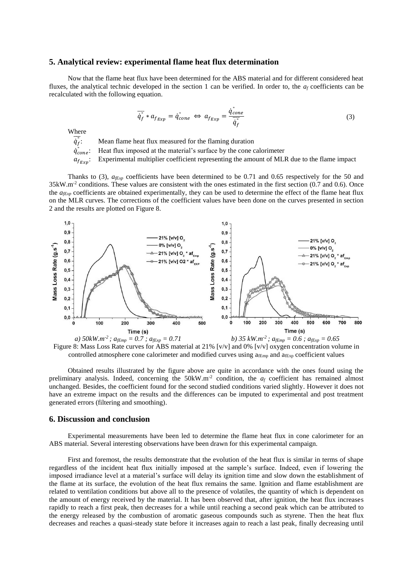#### **5. Analytical review: experimental flame heat flux determination**

Now that the flame heat flux have been determined for the ABS material and for different considered heat fluxes, the analytical technic developed in the section 1 can be verified. In order to, the *a<sup>f</sup>* coefficients can be recalculated with the following equation.

$$
\overline{\dot{q}_f}^* * a_{f_{Exp}} = \dot{q}_{cone}^* \iff a_{f_{Exp}} = \frac{\dot{q}_{cone}^*}{\overline{\dot{q}_f}^*}
$$
\n(3)

Where

 $\overline{\dot{q}}^{\text{''}}_f$ : Mean flame heat flux measured for the flaming duration  $\dot{q}_{cone}^{"}$ : Heat flux imposed at the material's surface by the cone calorimeter  $a_{f_{Err}}$ : Experimental multiplier coefficient representing the amount of MLR due to the flame impact

Thanks to (3),  $a_{fExp}$  coefficients have been determined to be 0.71 and 0.65 respectively for the 50 and 35kW.m-2 conditions. These values are consistent with the ones estimated in the first section (0.7 and 0.6). Once the *afExp* coefficients are obtained experimentally, they can be used to determine the effect of the flame heat flux on the MLR curves. The corrections of the coefficient values have been done on the curves presented in section 2 and the results are plotted on [Figure 8.](#page-11-0)



<span id="page-11-0"></span>Figure 8: Mass Loss Rate curves for ABS material at 21% [v/v] and 0% [v/v] oxygen concentration volume in controlled atmosphere cone calorimeter and modified curves using  $a_{fEmp}$  and  $a_{fExp}$  coefficient values

Obtained results illustrated by the figure above are quite in accordance with the ones found using the preliminary analysis. Indeed, concerning the  $50 \text{kW} \cdot \text{m}^{-2}$  condition, the  $a_f$  coefficient has remained almost unchanged. Besides, the coefficient found for the second studied conditions varied slightly. However it does not have an extreme impact on the results and the differences can be imputed to experimental and post treatment generated errors (filtering and smoothing).

#### **6. Discussion and conclusion**

Experimental measurements have been led to determine the flame heat flux in cone calorimeter for an ABS material. Several interesting observations have been drawn for this experimental campaign.

First and foremost, the results demonstrate that the evolution of the heat flux is similar in terms of shape regardless of the incident heat flux initially imposed at the sample's surface. Indeed, even if lowering the imposed irradiance level at a material's surface will delay its ignition time and slow down the establishment of the flame at its surface, the evolution of the heat flux remains the same. Ignition and flame establishment are related to ventilation conditions but above all to the presence of volatiles, the quantity of which is dependent on the amount of energy received by the material. It has been observed that, after ignition, the heat flux increases rapidly to reach a first peak, then decreases for a while until reaching a second peak which can be attributed to the energy released by the combustion of aromatic gaseous compounds such as styrene. Then the heat flux decreases and reaches a quasi-steady state before it increases again to reach a last peak, finally decreasing until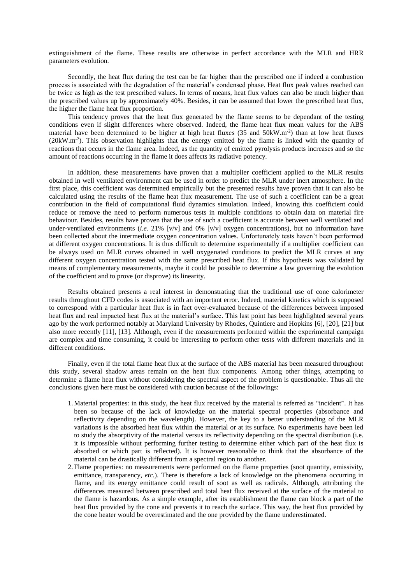extinguishment of the flame. These results are otherwise in perfect accordance with the MLR and HRR parameters evolution.

Secondly, the heat flux during the test can be far higher than the prescribed one if indeed a combustion process is associated with the degradation of the material's condensed phase. Heat flux peak values reached can be twice as high as the test prescribed values. In terms of means, heat flux values can also be much higher than the prescribed values up by approximately 40%. Besides, it can be assumed that lower the prescribed heat flux, the higher the flame heat flux proportion.

This tendency proves that the heat flux generated by the flame seems to be dependant of the testing conditions even if slight differences where observed. Indeed, the flame heat flux mean values for the ABS material have been determined to be higher at high heat fluxes (35 and 50kW.m<sup>-2</sup>) than at low heat fluxes (20kW.m<sup>-2</sup>). This observation highlights that the energy emitted by the flame is linked with the quantity of reactions that occurs in the flame area. Indeed, as the quantity of emitted pyrolysis products increases and so the amount of reactions occurring in the flame it does affects its radiative potency.

In addition, these measurements have proven that a multiplier coefficient applied to the MLR results obtained in well ventilated environment can be used in order to predict the MLR under inert atmosphere. In the first place, this coefficient was determined empirically but the presented results have proven that it can also be calculated using the results of the flame heat flux measurement. The use of such a coefficient can be a great contribution in the field of computational fluid dynamics simulation. Indeed, knowing this coefficient could reduce or remove the need to perform numerous tests in multiple conditions to obtain data on material fire behaviour. Besides, results have proven that the use of such a coefficient is accurate between well ventilated and under-ventilated environments (*i.e.* 21% [v/v] and 0% [v/v] oxygen concentrations), but no information have been collected about the intermediate oxygen concentration values. Unfortunately tests haven't been performed at different oxygen concentrations. It is thus difficult to determine experimentally if a multiplier coefficient can be always used on MLR curves obtained in well oxygenated conditions to predict the MLR curves at any different oxygen concentration tested with the same prescribed heat flux. If this hypothesis was validated by means of complementary measurements, maybe it could be possible to determine a law governing the evolution of the coefficient and to prove (or disprove) its linearity.

Results obtained presents a real interest in demonstrating that the traditional use of cone calorimeter results throughout CFD codes is associated with an important error. Indeed, material kinetics which is supposed to correspond with a particular heat flux is in fact over-evaluated because of the differences between imposed heat flux and real impacted heat flux at the material's surface. This last point has been highlighted several years ago by the work performed notably at Maryland University by Rhodes, Quintiere and Hopkins [\[6\],](#page-13-5) [\[20\],](#page-14-4) [\[21\]](#page-14-5) but also more recently [\[11\],](#page-13-10) [\[13\].](#page-13-12) Although, even if the measurements performed within the experimental campaign are complex and time consuming, it could be interesting to perform other tests with different materials and in different conditions.

Finally, even if the total flame heat flux at the surface of the ABS material has been measured throughout this study, several shadow areas remain on the heat flux components. Among other things, attempting to determine a flame heat flux without considering the spectral aspect of the problem is questionable. Thus all the conclusions given here must be considered with caution because of the followings:

- 1.Material properties: in this study, the heat flux received by the material is referred as "incident". It has been so because of the lack of knowledge on the material spectral properties (absorbance and reflectivity depending on the wavelength). However, the key to a better understanding of the MLR variations is the absorbed heat flux within the material or at its surface. No experiments have been led to study the absorptivity of the material versus its reflectivity depending on the spectral distribution (i.e. it is impossible without performing further testing to determine either which part of the heat flux is absorbed or which part is reflected). It is however reasonable to think that the absorbance of the material can be drastically different from a spectral region to another.
- 2. Flame properties: no measurements were performed on the flame properties (soot quantity, emissivity, emittance, transparency, *etc.*). There is therefore a lack of knowledge on the phenomena occurring in flame, and its energy emittance could result of soot as well as radicals. Although, attributing the differences measured between prescribed and total heat flux received at the surface of the material to the flame is hazardous. As a simple example, after its establishment the flame can block a part of the heat flux provided by the cone and prevents it to reach the surface. This way, the heat flux provided by the cone heater would be overestimated and the one provided by the flame underestimated.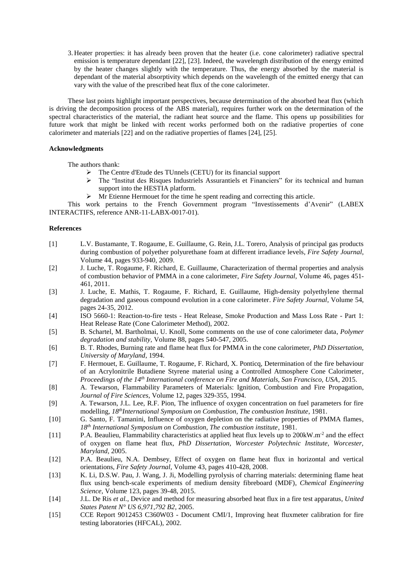3. Heater properties: it has already been proven that the heater (i.e. cone calorimeter) radiative spectral emission is temperature dependant [\[22\],](#page-14-6) [\[23\].](#page-14-7) Indeed, the wavelength distribution of the energy emitted by the heater changes slightly with the temperature. Thus, the energy absorbed by the material is dependant of the material absorptivity which depends on the wavelength of the emitted energy that can vary with the value of the prescribed heat flux of the cone calorimeter.

These last points highlight important perspectives, because determination of the absorbed heat flux (which is driving the decomposition process of the ABS material), requires further work on the determination of the spectral characteristics of the material, the radiant heat source and the flame. This opens up possibilities for future work that might be linked with recent works performed both on the radiative properties of cone calorimeter and materials [\[22\]](#page-14-6) and on the radiative properties of flames [\[24\],](#page-14-8) [\[25\].](#page-14-9)

#### **Acknowledgments**

The authors thank:

- The Centre d'Etude des TUnnels (CETU) for its financial support
- $\triangleright$  The "Institut des Risques Industriels Assurantiels et Financiers" for its technical and human support into the HESTIA platform.
- $\triangleright$  Mr Etienne Hermouet for the time he spent reading and correcting this article.

This work pertains to the French Government program "Investissements d'Avenir" (LABEX INTERACTIFS, reference ANR-11-LABX-0017-01).

#### **References**

- <span id="page-13-0"></span>[1] L.V. Bustamante, T. Rogaume, E. Guillaume, G. Rein, J.L. Torero, Analysis of principal gas products during combustion of polyether polyurethane foam at different irradiance levels, *Fire Safety Journal*, Volume 44, pages 933-940, 2009.
- <span id="page-13-1"></span>[2] J. Luche, T. Rogaume, F. Richard, E. Guillaume, Characterization of thermal properties and analysis of combustion behavior of PMMA in a cone calorimeter, *Fire Safety Journal*, Volume 46, pages 451- 461, 2011.
- <span id="page-13-2"></span>[3] J. Luche, E. Mathis, T. Rogaume, F. Richard, E. Guillaume, High-density polyethylene thermal degradation and gaseous compound evolution in a cone calorimeter. *Fire Safety Journal*, Volume 54, pages 24-35, 2012.
- <span id="page-13-3"></span>[4] ISO 5660-1: Reaction-to-fire tests - Heat Release, Smoke Production and Mass Loss Rate - Part 1: Heat Release Rate (Cone Calorimeter Method), 2002.
- <span id="page-13-4"></span>[5] B. Schartel, M. Bartholmai, U. Knoll, Some comments on the use of cone calorimeter data, *Polymer degradation and stability*, Volume 88, pages 540-547, 2005.
- <span id="page-13-5"></span>[6] B. T. Rhodes, Burning rate and flame heat flux for PMMA in the cone calorimeter, *PhD Dissertation, University of Maryland*, 1994.
- <span id="page-13-6"></span>[7] F. Hermouet, E. Guillaume, T. Rogaume, F. Richard, X. Ponticq, Determination of the fire behaviour of an Acrylonitrile Butadiene Styrene material using a Controlled Atmosphere Cone Calorimeter, *Proceedings of the 14th International conference on Fire and Materials, San Francisco, USA*, 2015.
- <span id="page-13-7"></span>[8] A. Tewarson, Flammability Parameters of Materials: Ignition, Combustion and Fire Propagation, *Journal of Fire Sciences*, Volume 12, pages 329-355, 1994.
- <span id="page-13-8"></span>[9] A. Tewarson, J.L. Lee, R.F. Pion, The influence of oxygen concentration on fuel parameters for fire modelling, *18thInternational Symposium on Combustion, The combustion Institute*, 1981.
- <span id="page-13-9"></span>[10] G. Santo, F. Tamanini, Influence of oxygen depletion on the radiative properties of PMMA flames, *18th International Symposium on Combustion, The combustion institute*, 1981.
- <span id="page-13-10"></span>[11] P.A. Beaulieu, Flammability characteristics at applied heat flux levels up to 200kW.m<sup>-2</sup> and the effect of oxygen on flame heat flux, *PhD Dissertation, Worcester Polytechnic Institute, Worcester, Maryland*, 2005.
- <span id="page-13-11"></span>[12] P.A. Beaulieu, N.A. Dembsey, Effect of oxygen on flame heat flux in horizontal and vertical orientations, *Fire Safety Journal*, Volume 43, pages 410-428, 2008.
- <span id="page-13-12"></span>[13] K. Li, D.S.W. Pau, J. Wang, J. Ji, Modelling pyrolysis of charring materials: determining flame heat flux using bench-scale experiments of medium density fibreboard (MDF), *Chemical Engineering Science*, Volume 123, pages 39-48, 2015.
- <span id="page-13-13"></span>[14] J.L. De Ris *et al.*, Device and method for measuring absorbed heat flux in a fire test apparatus, *United States Patent N° US 6,971,792 B2*, 2005.
- <span id="page-13-14"></span>[15] CCE Report 9012453 C360W03 - Document CMI/1, Improving heat fluxmeter calibration for fire testing laboratories (HFCAL), 2002.